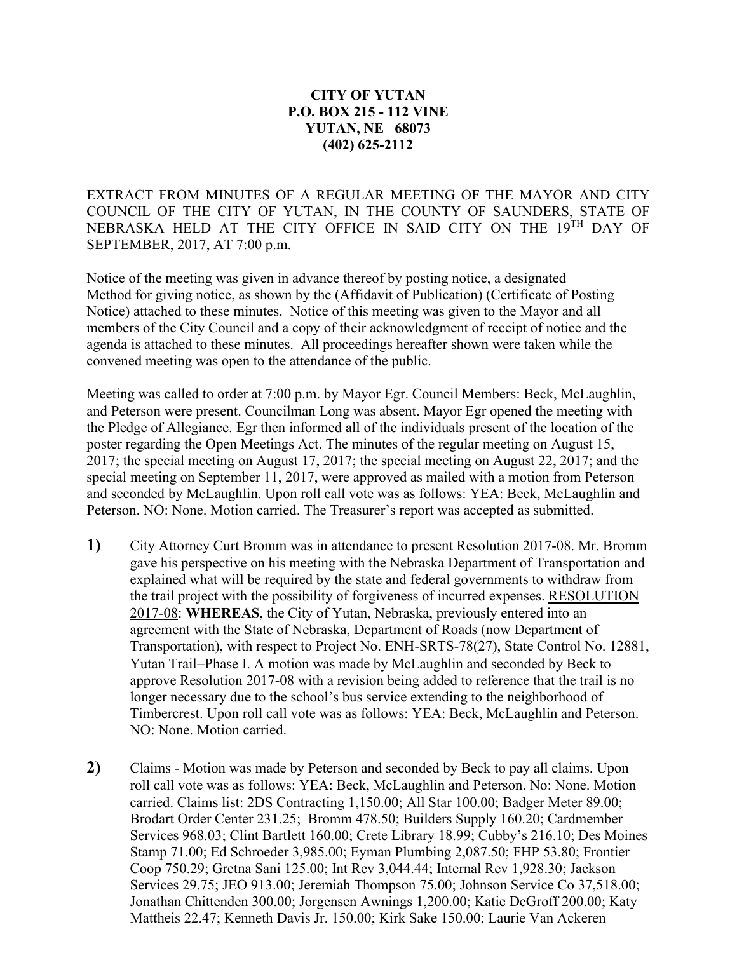## **CITY OF YUTAN P.O. BOX 215 - 112 VINE YUTAN, NE 68073 (402) 625-2112**

EXTRACT FROM MINUTES OF A REGULAR MEETING OF THE MAYOR AND CITY COUNCIL OF THE CITY OF YUTAN, IN THE COUNTY OF SAUNDERS, STATE OF NEBRASKA HELD AT THE CITY OFFICE IN SAID CITY ON THE 19TH DAY OF SEPTEMBER, 2017, AT 7:00 p.m.

Notice of the meeting was given in advance thereof by posting notice, a designated Method for giving notice, as shown by the (Affidavit of Publication) (Certificate of Posting Notice) attached to these minutes. Notice of this meeting was given to the Mayor and all members of the City Council and a copy of their acknowledgment of receipt of notice and the agenda is attached to these minutes. All proceedings hereafter shown were taken while the convened meeting was open to the attendance of the public.

Meeting was called to order at 7:00 p.m. by Mayor Egr. Council Members: Beck, McLaughlin, and Peterson were present. Councilman Long was absent. Mayor Egr opened the meeting with the Pledge of Allegiance. Egr then informed all of the individuals present of the location of the poster regarding the Open Meetings Act. The minutes of the regular meeting on August 15, 2017; the special meeting on August 17, 2017; the special meeting on August 22, 2017; and the special meeting on September 11, 2017, were approved as mailed with a motion from Peterson and seconded by McLaughlin. Upon roll call vote was as follows: YEA: Beck, McLaughlin and Peterson. NO: None. Motion carried. The Treasurer's report was accepted as submitted.

- **1)** City Attorney Curt Bromm was in attendance to present Resolution 2017-08. Mr. Bromm gave his perspective on his meeting with the Nebraska Department of Transportation and explained what will be required by the state and federal governments to withdraw from the trail project with the possibility of forgiveness of incurred expenses. RESOLUTION 2017-08: **WHEREAS**, the City of Yutan, Nebraska, previously entered into an agreement with the State of Nebraska, Department of Roads (now Department of Transportation), with respect to Project No. ENH-SRTS-78(27), State Control No. 12881, Yutan Trail−Phase I. A motion was made by McLaughlin and seconded by Beck to approve Resolution 2017-08 with a revision being added to reference that the trail is no longer necessary due to the school's bus service extending to the neighborhood of Timbercrest. Upon roll call vote was as follows: YEA: Beck, McLaughlin and Peterson. NO: None. Motion carried.
- **2)** Claims Motion was made by Peterson and seconded by Beck to pay all claims. Upon roll call vote was as follows: YEA: Beck, McLaughlin and Peterson. No: None. Motion carried. Claims list: 2DS Contracting 1,150.00; All Star 100.00; Badger Meter 89.00; Brodart Order Center 231.25; Bromm 478.50; Builders Supply 160.20; Cardmember Services 968.03; Clint Bartlett 160.00; Crete Library 18.99; Cubby's 216.10; Des Moines Stamp 71.00; Ed Schroeder 3,985.00; Eyman Plumbing 2,087.50; FHP 53.80; Frontier Coop 750.29; Gretna Sani 125.00; Int Rev 3,044.44; Internal Rev 1,928.30; Jackson Services 29.75; JEO 913.00; Jeremiah Thompson 75.00; Johnson Service Co 37,518.00; Jonathan Chittenden 300.00; Jorgensen Awnings 1,200.00; Katie DeGroff 200.00; Katy Mattheis 22.47; Kenneth Davis Jr. 150.00; Kirk Sake 150.00; Laurie Van Ackeren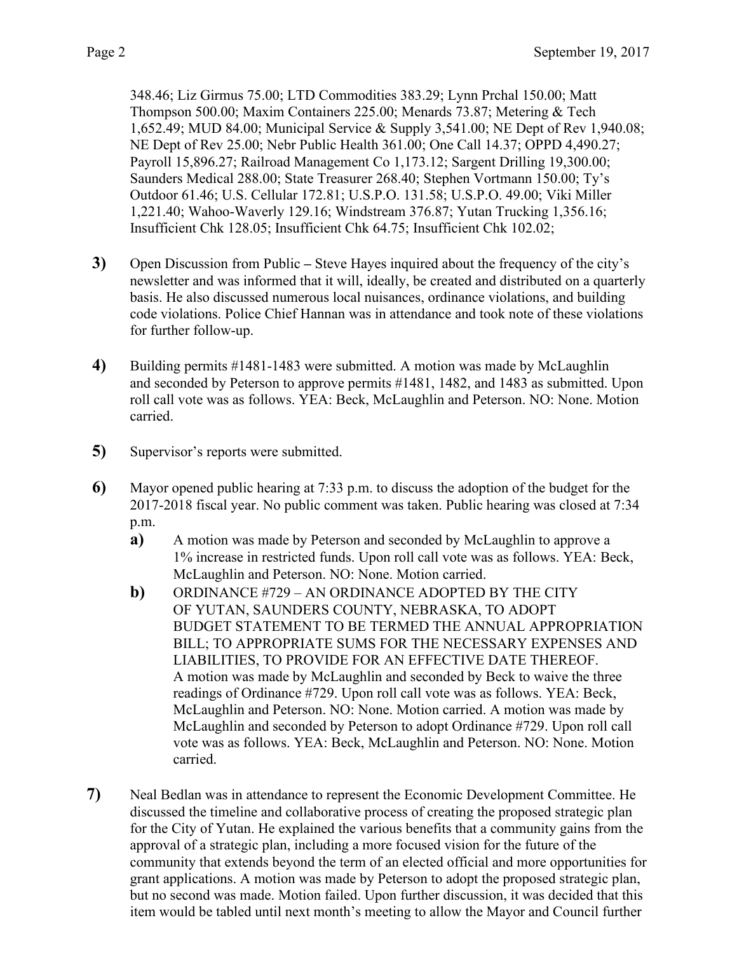348.46; Liz Girmus 75.00; LTD Commodities 383.29; Lynn Prchal 150.00; Matt Thompson 500.00; Maxim Containers 225.00; Menards 73.87; Metering & Tech 1,652.49; MUD 84.00; Municipal Service & Supply 3,541.00; NE Dept of Rev 1,940.08; NE Dept of Rev 25.00; Nebr Public Health 361.00; One Call 14.37; OPPD 4,490.27; Payroll 15,896.27; Railroad Management Co 1,173.12; Sargent Drilling 19,300.00; Saunders Medical 288.00; State Treasurer 268.40; Stephen Vortmann 150.00; Ty's Outdoor 61.46; U.S. Cellular 172.81; U.S.P.O. 131.58; U.S.P.O. 49.00; Viki Miller 1,221.40; Wahoo-Waverly 129.16; Windstream 376.87; Yutan Trucking 1,356.16; Insufficient Chk 128.05; Insufficient Chk 64.75; Insufficient Chk 102.02;

- **3)** Open Discussion from Public **–** Steve Hayes inquired about the frequency of the city's newsletter and was informed that it will, ideally, be created and distributed on a quarterly basis. He also discussed numerous local nuisances, ordinance violations, and building code violations. Police Chief Hannan was in attendance and took note of these violations for further follow-up.
- **4)** Building permits #1481-1483 were submitted. A motion was made by McLaughlin and seconded by Peterson to approve permits #1481, 1482, and 1483 as submitted. Upon roll call vote was as follows. YEA: Beck, McLaughlin and Peterson. NO: None. Motion carried.
- **5)** Supervisor's reports were submitted.
- **6)** Mayor opened public hearing at 7:33 p.m. to discuss the adoption of the budget for the 2017-2018 fiscal year. No public comment was taken. Public hearing was closed at 7:34 p.m.
	- **a)** A motion was made by Peterson and seconded by McLaughlin to approve a 1% increase in restricted funds. Upon roll call vote was as follows. YEA: Beck, McLaughlin and Peterson. NO: None. Motion carried.
	- **b)** ORDINANCE #729 AN ORDINANCE ADOPTED BY THE CITY OF YUTAN, SAUNDERS COUNTY, NEBRASKA, TO ADOPT BUDGET STATEMENT TO BE TERMED THE ANNUAL APPROPRIATION BILL; TO APPROPRIATE SUMS FOR THE NECESSARY EXPENSES AND LIABILITIES, TO PROVIDE FOR AN EFFECTIVE DATE THEREOF. A motion was made by McLaughlin and seconded by Beck to waive the three readings of Ordinance #729. Upon roll call vote was as follows. YEA: Beck, McLaughlin and Peterson. NO: None. Motion carried. A motion was made by McLaughlin and seconded by Peterson to adopt Ordinance #729. Upon roll call vote was as follows. YEA: Beck, McLaughlin and Peterson. NO: None. Motion carried.
- **7)** Neal Bedlan was in attendance to represent the Economic Development Committee. He discussed the timeline and collaborative process of creating the proposed strategic plan for the City of Yutan. He explained the various benefits that a community gains from the approval of a strategic plan, including a more focused vision for the future of the community that extends beyond the term of an elected official and more opportunities for grant applications. A motion was made by Peterson to adopt the proposed strategic plan, but no second was made. Motion failed. Upon further discussion, it was decided that this item would be tabled until next month's meeting to allow the Mayor and Council further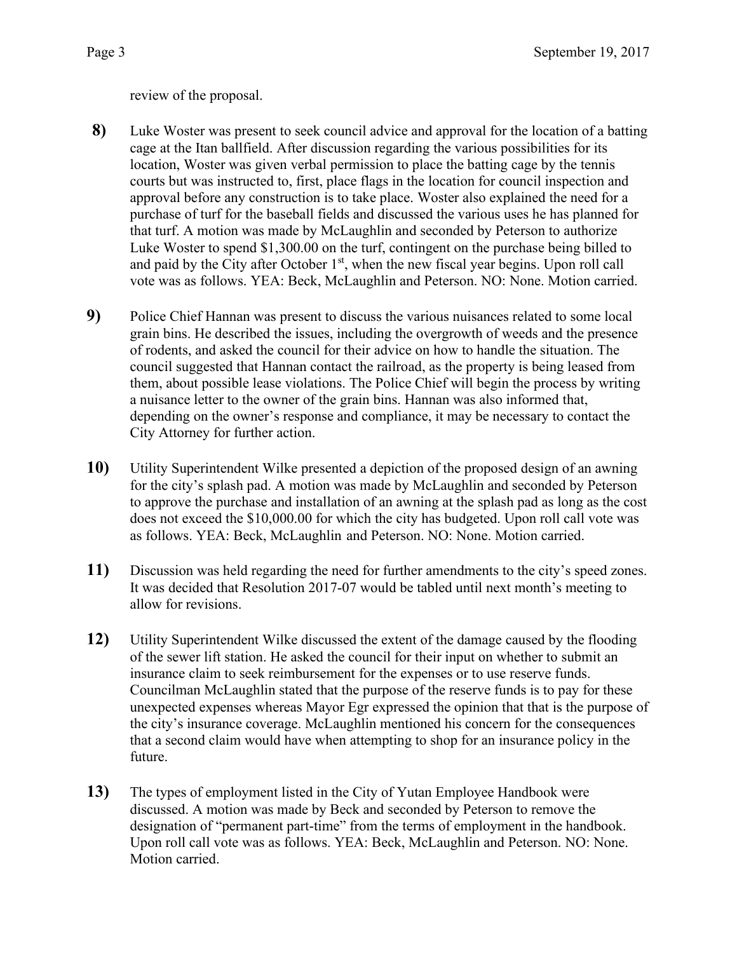review of the proposal.

- **8)** Luke Woster was present to seek council advice and approval for the location of a batting cage at the Itan ballfield. After discussion regarding the various possibilities for its location, Woster was given verbal permission to place the batting cage by the tennis courts but was instructed to, first, place flags in the location for council inspection and approval before any construction is to take place. Woster also explained the need for a purchase of turf for the baseball fields and discussed the various uses he has planned for that turf. A motion was made by McLaughlin and seconded by Peterson to authorize Luke Woster to spend \$1,300.00 on the turf, contingent on the purchase being billed to and paid by the City after October  $1<sup>st</sup>$ , when the new fiscal year begins. Upon roll call vote was as follows. YEA: Beck, McLaughlin and Peterson. NO: None. Motion carried.
- **9)** Police Chief Hannan was present to discuss the various nuisances related to some local grain bins. He described the issues, including the overgrowth of weeds and the presence of rodents, and asked the council for their advice on how to handle the situation. The council suggested that Hannan contact the railroad, as the property is being leased from them, about possible lease violations. The Police Chief will begin the process by writing a nuisance letter to the owner of the grain bins. Hannan was also informed that, depending on the owner's response and compliance, it may be necessary to contact the City Attorney for further action.
- **10)** Utility Superintendent Wilke presented a depiction of the proposed design of an awning for the city's splash pad. A motion was made by McLaughlin and seconded by Peterson to approve the purchase and installation of an awning at the splash pad as long as the cost does not exceed the \$10,000.00 for which the city has budgeted. Upon roll call vote was as follows. YEA: Beck, McLaughlin and Peterson. NO: None. Motion carried.
- **11)** Discussion was held regarding the need for further amendments to the city's speed zones. It was decided that Resolution 2017-07 would be tabled until next month's meeting to allow for revisions.
- **12)** Utility Superintendent Wilke discussed the extent of the damage caused by the flooding of the sewer lift station. He asked the council for their input on whether to submit an insurance claim to seek reimbursement for the expenses or to use reserve funds. Councilman McLaughlin stated that the purpose of the reserve funds is to pay for these unexpected expenses whereas Mayor Egr expressed the opinion that that is the purpose of the city's insurance coverage. McLaughlin mentioned his concern for the consequences that a second claim would have when attempting to shop for an insurance policy in the future.
- **13)** The types of employment listed in the City of Yutan Employee Handbook were discussed. A motion was made by Beck and seconded by Peterson to remove the designation of "permanent part-time" from the terms of employment in the handbook. Upon roll call vote was as follows. YEA: Beck, McLaughlin and Peterson. NO: None. Motion carried.